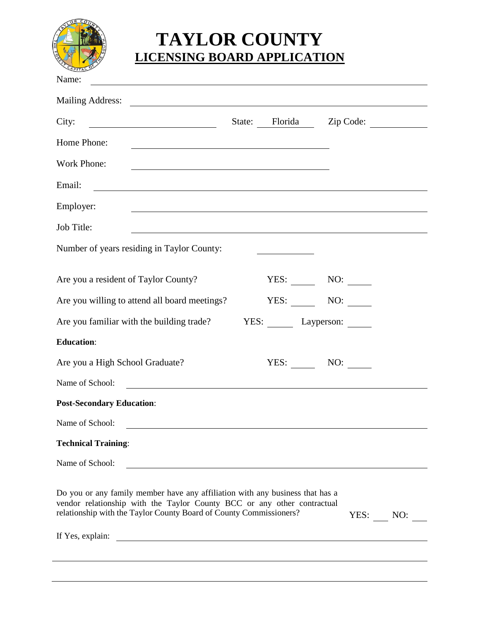

## **TAYLOR COUNTY LICENSING BOARD APPLICATION**

| Name:                                                                                                                                                                                                                                                    |                 |                          |  |
|----------------------------------------------------------------------------------------------------------------------------------------------------------------------------------------------------------------------------------------------------------|-----------------|--------------------------|--|
| <b>Mailing Address:</b><br><u> 1989 - Johann Stein, mars and de Branch and de Branch and de Branch and de Branch and de Branch and de Branch</u>                                                                                                         |                 |                          |  |
| City:                                                                                                                                                                                                                                                    |                 | State: Florida Zip Code: |  |
| Home Phone:                                                                                                                                                                                                                                              |                 |                          |  |
| Work Phone:                                                                                                                                                                                                                                              |                 |                          |  |
| Email:                                                                                                                                                                                                                                                   |                 |                          |  |
| Employer:                                                                                                                                                                                                                                                |                 |                          |  |
| Job Title:                                                                                                                                                                                                                                               |                 |                          |  |
| Number of years residing in Taylor County:                                                                                                                                                                                                               |                 |                          |  |
| Are you a resident of Taylor County?                                                                                                                                                                                                                     |                 | $YES:$ NO: $\qquad$      |  |
| Are you willing to attend all board meetings?                                                                                                                                                                                                            |                 | $YES:$ NO: $\qquad$      |  |
| Are you familiar with the building trade?                                                                                                                                                                                                                | YES: Layperson: |                          |  |
| <b>Education:</b>                                                                                                                                                                                                                                        |                 |                          |  |
| Are you a High School Graduate?                                                                                                                                                                                                                          | YES:            | NO:                      |  |
| Name of School:<br><u> 1980 - Andrea Andrew Maria (h. 1980).</u>                                                                                                                                                                                         |                 |                          |  |
| <b>Post-Secondary Education:</b>                                                                                                                                                                                                                         |                 |                          |  |
| Name of School:                                                                                                                                                                                                                                          |                 |                          |  |
| <b>Technical Training:</b>                                                                                                                                                                                                                               |                 |                          |  |
| Name of School:                                                                                                                                                                                                                                          |                 |                          |  |
| Do you or any family member have any affiliation with any business that has a<br>vendor relationship with the Taylor County BCC or any other contractual<br>relationship with the Taylor County Board of County Commissioners?                           |                 | YES: NO:                 |  |
| If Yes, explain:<br><u>and the community of the community of the community of the community of the community of the community of the community of the community of the community of the community of the community of the community of the community</u> |                 |                          |  |